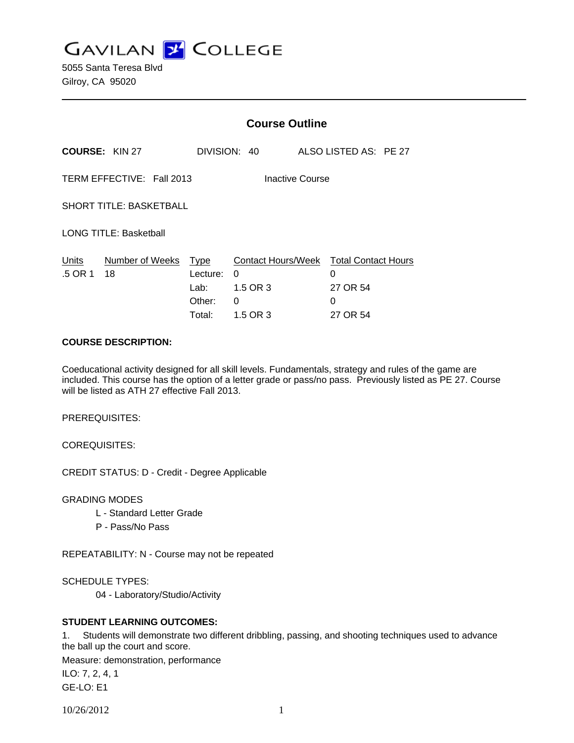**GAVILAN Z COLLEGE** 

5055 Santa Teresa Blvd Gilroy, CA 95020

|                                                     |                       | <b>Course Outline</b>                        |                                                      |        |                                                    |
|-----------------------------------------------------|-----------------------|----------------------------------------------|------------------------------------------------------|--------|----------------------------------------------------|
|                                                     | <b>COURSE: KIN 27</b> |                                              | DIVISION: 40                                         |        | ALSO LISTED AS: PE 27                              |
| TERM EFFECTIVE: Fall 2013<br><b>Inactive Course</b> |                       |                                              |                                                      |        |                                                    |
| <b>SHORT TITLE: BASKETBALL</b>                      |                       |                                              |                                                      |        |                                                    |
| <b>LONG TITLE: Basketball</b>                       |                       |                                              |                                                      |        |                                                    |
| Units<br>.5 OR 1                                    | Number of Weeks<br>18 | Type<br>Lecture:<br>Lab:<br>Other:<br>Total: | Contact Hours/Week<br>0<br>1.5 OR 3<br>0<br>1.5 OR 3 | 0<br>0 | <b>Total Contact Hours</b><br>27 OR 54<br>27 OR 54 |

# **COURSE DESCRIPTION:**

Coeducational activity designed for all skill levels. Fundamentals, strategy and rules of the game are included. This course has the option of a letter grade or pass/no pass. Previously listed as PE 27. Course will be listed as ATH 27 effective Fall 2013.

PREREQUISITES:

COREQUISITES:

CREDIT STATUS: D - Credit - Degree Applicable

GRADING MODES

- L Standard Letter Grade
- P Pass/No Pass

REPEATABILITY: N - Course may not be repeated

SCHEDULE TYPES:

04 - Laboratory/Studio/Activity

## **STUDENT LEARNING OUTCOMES:**

1. Students will demonstrate two different dribbling, passing, and shooting techniques used to advance the ball up the court and score.

Measure: demonstration, performance

ILO: 7, 2, 4, 1 GE-LO: E1

10/26/2012 1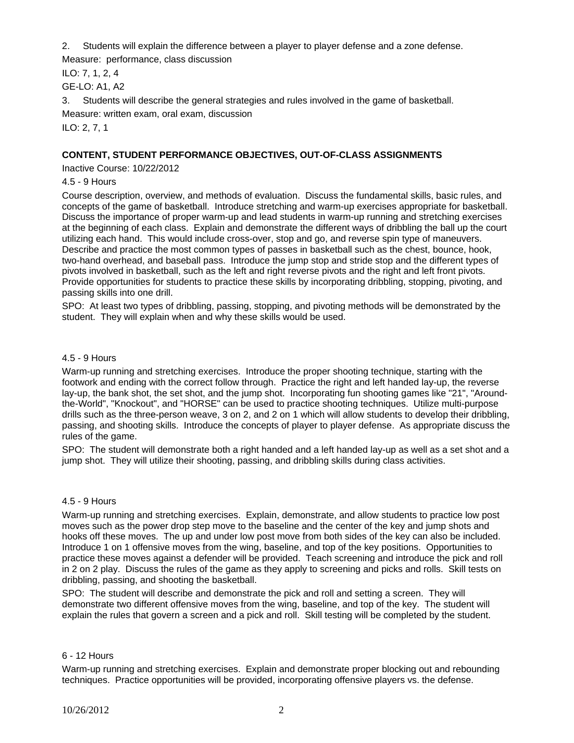2. Students will explain the difference between a player to player defense and a zone defense.

Measure: performance, class discussion

ILO: 7, 1, 2, 4

GE-LO: A1, A2

3. Students will describe the general strategies and rules involved in the game of basketball.

Measure: written exam, oral exam, discussion

ILO: 2, 7, 1

# **CONTENT, STUDENT PERFORMANCE OBJECTIVES, OUT-OF-CLASS ASSIGNMENTS**

Inactive Course: 10/22/2012

4.5 - 9 Hours

Course description, overview, and methods of evaluation. Discuss the fundamental skills, basic rules, and concepts of the game of basketball. Introduce stretching and warm-up exercises appropriate for basketball. Discuss the importance of proper warm-up and lead students in warm-up running and stretching exercises at the beginning of each class. Explain and demonstrate the different ways of dribbling the ball up the court utilizing each hand. This would include cross-over, stop and go, and reverse spin type of maneuvers. Describe and practice the most common types of passes in basketball such as the chest, bounce, hook, two-hand overhead, and baseball pass. Introduce the jump stop and stride stop and the different types of pivots involved in basketball, such as the left and right reverse pivots and the right and left front pivots. Provide opportunities for students to practice these skills by incorporating dribbling, stopping, pivoting, and passing skills into one drill.

SPO: At least two types of dribbling, passing, stopping, and pivoting methods will be demonstrated by the student. They will explain when and why these skills would be used.

# 4.5 - 9 Hours

Warm-up running and stretching exercises. Introduce the proper shooting technique, starting with the footwork and ending with the correct follow through. Practice the right and left handed lay-up, the reverse lay-up, the bank shot, the set shot, and the jump shot. Incorporating fun shooting games like "21", "Aroundthe-World", "Knockout", and "HORSE" can be used to practice shooting techniques. Utilize multi-purpose drills such as the three-person weave, 3 on 2, and 2 on 1 which will allow students to develop their dribbling, passing, and shooting skills. Introduce the concepts of player to player defense. As appropriate discuss the rules of the game.

SPO: The student will demonstrate both a right handed and a left handed lay-up as well as a set shot and a jump shot. They will utilize their shooting, passing, and dribbling skills during class activities.

# 4.5 - 9 Hours

Warm-up running and stretching exercises. Explain, demonstrate, and allow students to practice low post moves such as the power drop step move to the baseline and the center of the key and jump shots and hooks off these moves. The up and under low post move from both sides of the key can also be included. Introduce 1 on 1 offensive moves from the wing, baseline, and top of the key positions. Opportunities to practice these moves against a defender will be provided. Teach screening and introduce the pick and roll in 2 on 2 play. Discuss the rules of the game as they apply to screening and picks and rolls. Skill tests on dribbling, passing, and shooting the basketball.

SPO: The student will describe and demonstrate the pick and roll and setting a screen. They will demonstrate two different offensive moves from the wing, baseline, and top of the key. The student will explain the rules that govern a screen and a pick and roll. Skill testing will be completed by the student.

## 6 - 12 Hours

Warm-up running and stretching exercises. Explain and demonstrate proper blocking out and rebounding techniques. Practice opportunities will be provided, incorporating offensive players vs. the defense.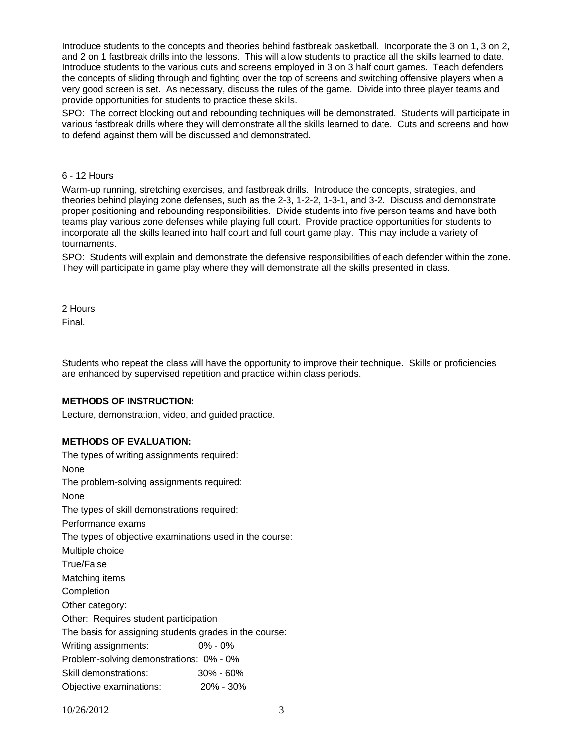Introduce students to the concepts and theories behind fastbreak basketball. Incorporate the 3 on 1, 3 on 2, and 2 on 1 fastbreak drills into the lessons. This will allow students to practice all the skills learned to date. Introduce students to the various cuts and screens employed in 3 on 3 half court games. Teach defenders the concepts of sliding through and fighting over the top of screens and switching offensive players when a very good screen is set. As necessary, discuss the rules of the game. Divide into three player teams and provide opportunities for students to practice these skills.

SPO: The correct blocking out and rebounding techniques will be demonstrated. Students will participate in various fastbreak drills where they will demonstrate all the skills learned to date. Cuts and screens and how to defend against them will be discussed and demonstrated.

### 6 - 12 Hours

Warm-up running, stretching exercises, and fastbreak drills. Introduce the concepts, strategies, and theories behind playing zone defenses, such as the 2-3, 1-2-2, 1-3-1, and 3-2. Discuss and demonstrate proper positioning and rebounding responsibilities. Divide students into five person teams and have both teams play various zone defenses while playing full court. Provide practice opportunities for students to incorporate all the skills leaned into half court and full court game play. This may include a variety of tournaments.

SPO: Students will explain and demonstrate the defensive responsibilities of each defender within the zone. They will participate in game play where they will demonstrate all the skills presented in class.

2 Hours

Final.

Students who repeat the class will have the opportunity to improve their technique. Skills or proficiencies are enhanced by supervised repetition and practice within class periods.

## **METHODS OF INSTRUCTION:**

Lecture, demonstration, video, and guided practice.

## **METHODS OF EVALUATION:**

The types of writing assignments required: None The problem-solving assignments required: None The types of skill demonstrations required: Performance exams The types of objective examinations used in the course: Multiple choice True/False Matching items **Completion** Other category: Other: Requires student participation The basis for assigning students grades in the course: Writing assignments: 0% - 0% Problem-solving demonstrations: 0% - 0% Skill demonstrations: 30% - 60% Objective examinations: 20% - 30%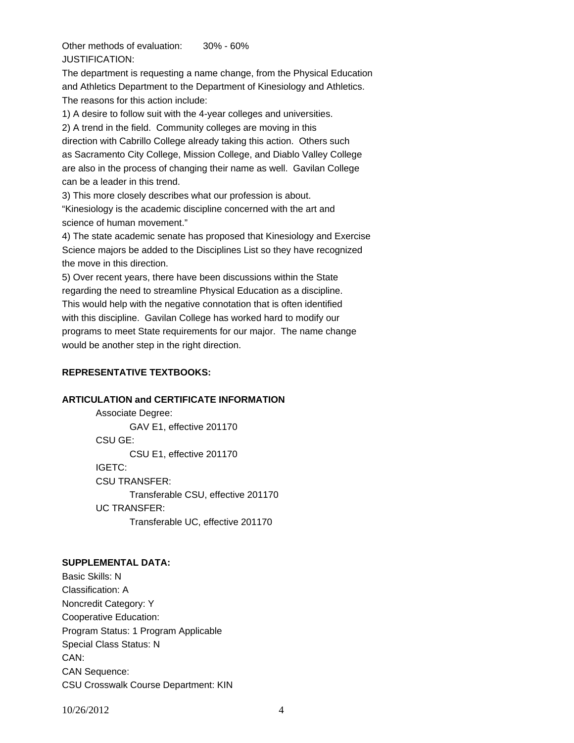Other methods of evaluation: 30% - 60% JUSTIFICATION:

The department is requesting a name change, from the Physical Education and Athletics Department to the Department of Kinesiology and Athletics. The reasons for this action include:

1) A desire to follow suit with the 4-year colleges and universities.

2) A trend in the field. Community colleges are moving in this direction with Cabrillo College already taking this action. Others such as Sacramento City College, Mission College, and Diablo Valley College are also in the process of changing their name as well. Gavilan College can be a leader in this trend.

3) This more closely describes what our profession is about.

"Kinesiology is the academic discipline concerned with the art and science of human movement."

4) The state academic senate has proposed that Kinesiology and Exercise Science majors be added to the Disciplines List so they have recognized the move in this direction.

5) Over recent years, there have been discussions within the State regarding the need to streamline Physical Education as a discipline. This would help with the negative connotation that is often identified with this discipline. Gavilan College has worked hard to modify our programs to meet State requirements for our major. The name change would be another step in the right direction.

# **REPRESENTATIVE TEXTBOOKS:**

## **ARTICULATION and CERTIFICATE INFORMATION**

 Associate Degree: GAV E1, effective 201170 CSU GE: CSU E1, effective 201170 IGETC: CSU TRANSFER: Transferable CSU, effective 201170 UC TRANSFER: Transferable UC, effective 201170

# **SUPPLEMENTAL DATA:**

Basic Skills: N Classification: A Noncredit Category: Y Cooperative Education: Program Status: 1 Program Applicable Special Class Status: N CAN: CAN Sequence: CSU Crosswalk Course Department: KIN